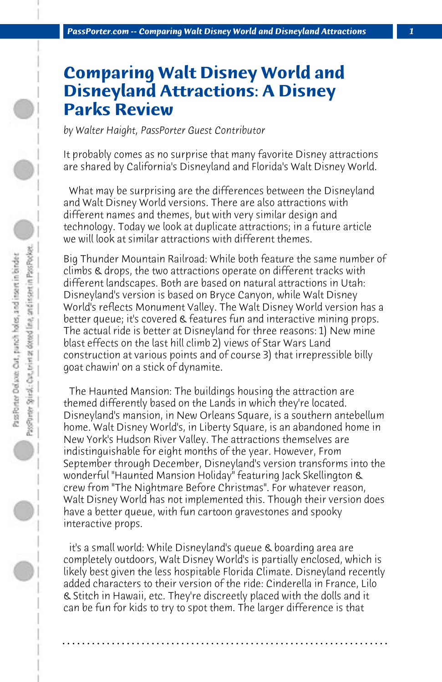## **Comparing Walt Disney World and Disneyland Attractions: A Disney Parks Review**

*by Walter Haight, PassPorter Guest Contributor*

It probably comes as no surprise that many favorite Disney attractions are shared by California's Disneyland and Florida's Walt Disney World.

 What may be surprising are the differences between the Disneyland and Walt Disney World versions. There are also attractions with different names and themes, but with very similar design and technology. Today we look at duplicate attractions; in a future article we will look at similar attractions with different themes.

Big Thunder Mountain Railroad: While both feature the same number of climbs & drops, the two attractions operate on different tracks with different landscapes. Both are based on natural attractions in Utah: Disneyland's version is based on Bryce Canyon, while Walt Disney World's reflects Monument Valley. The Walt Disney World version has a better queue; it's covered & features fun and interactive mining props. The actual ride is better at Disneyland for three reasons: 1) New mine blast effects on the last hill climb 2) views of Star Wars Land construction at various points and of course 3) that irrepressible billy goat chawin' on a stick of dynamite.

 The Haunted Mansion: The buildings housing the attraction are themed differently based on the Lands in which they're located. Disneyland's mansion, in New Orleans Square, is a southern antebellum home. Walt Disney World's, in Liberty Square, is an abandoned home in New York's Hudson River Valley. The attractions themselves are indistinguishable for eight months of the year. However, From September through December, Disneyland's version transforms into the wonderful "Haunted Mansion Holiday" featuring Jack Skellington & crew from "The Nightmare Before Christmas". For whatever reason, Walt Disney World has not implemented this. Though their version does have a better queue, with fun cartoon gravestones and spooky interactive props.

 it's a small world: While Disneyland's queue & boarding area are completely outdoors, Walt Disney World's is partially enclosed, which is likely best given the less hospitable Florida Climate. Disneyland recently added characters to their version of the ride: Cinderella in France, Lilo & Stitch in Hawaii, etc. They're discreetly placed with the dolls and it can be fun for kids to try to spot them. The larger difference is that

**. . . . . . . . . . . . . . . . . . . . . . . . . . . . . . . . . . . . . . . . . . . . . . . . . . . . . . . . . . . . . . . . . .**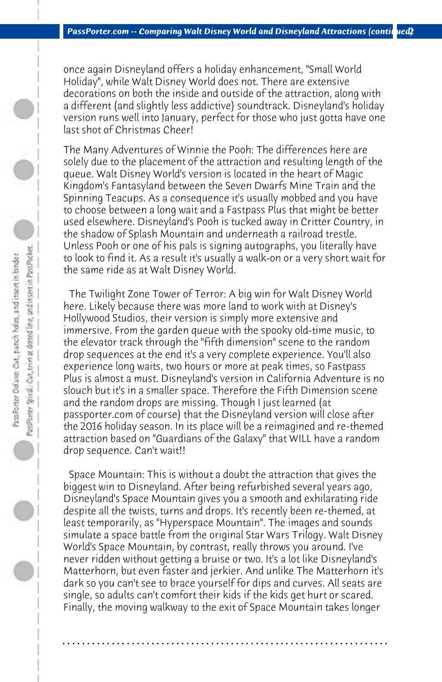once again Disneyland offers a holiday enhancement, "Small World Holiday", while Walt Disney World does not. There are extensive decorations on both the inside and outside of the attraction, along with a different (and slightly less addictive) soundtrack. Disneyland's holiday version runs well into January, perfect for those who just gotta have one last shot of Christmas Cheer!

The Many Adventures of Winnie the Pooh: The differences here are solely due to the placement of the attraction and resulting length of the queue. Walt Disney World's version is located in the heart of Magic Kingdom's Fantasyland between the Seven Dwarfs Mine Train and the Spinning Teacups. As a consequence it's usually mobbed and you have to choose between a long wait and a Fastpass Plus that might be better used elsewhere. Disneyland's Pooh is tucked away in Critter Country, in the shadow of Splash Mountain and underneath a railroad trestle. Unless Pooh or one of his pals is signing autographs, you literally have to look to find it. As a result it's usually a walk-on or a very short wait for the same ride as at Walt Disney World.

 The Twilight Zone Tower of Terror: A big win for Walt Disney World here. Likely because there was more land to work with at Disney's Hollywood Studios, their version is simply more extensive and immersive. From the garden queue with the spooky old-time music, to the elevator track through the "fifth dimension" scene to the random drop sequences at the end it's a very complete experience. You'll also experience long waits, two hours or more at peak times, so Fastpass Plus is almost a must. Disneyland's version in California Adventure is no slouch but it's in a smaller space. Therefore the Fifth Dimension scene and the random drops are missing. Though I just learned (at passporter.com of course) that the Disneyland version will close after the 2016 holiday season. In its place will be a reimagined and re-themed attraction based on "Guardians of the Galaxy" that WILL have a random drop sequence. Can't wait!!

 Space Mountain: This is without a doubt the attraction that gives the biggest win to Disneyland. After being refurbished several years ago, Disneyland's Space Mountain gives you a smooth and exhilarating ride despite all the twists, turns and drops. It's recently been re-themed, at least temporarily, as "Hyperspace Mountain". The images and sounds simulate a space battle from the original Star Wars Trilogy. Walt Disney World's Space Mountain, by contrast, really throws you around. I've never ridden without getting a bruise or two. It's a lot like Disneyland's Matterhorn, but even faster and jerkier. And unlike The Matterhorn it's dark so you can't see to brace yourself for dips and curves. All seats are single, so adults can't comfort their kids if the kids get hurt or scared. Finally, the moving walkway to the exit of Space Mountain takes longer

**. . . . . . . . . . . . . . . . . . . . . . . . . . . . . . . . . . . . . . . . . . . . . . . . . . . . . . . . . . . . . . . . . .**